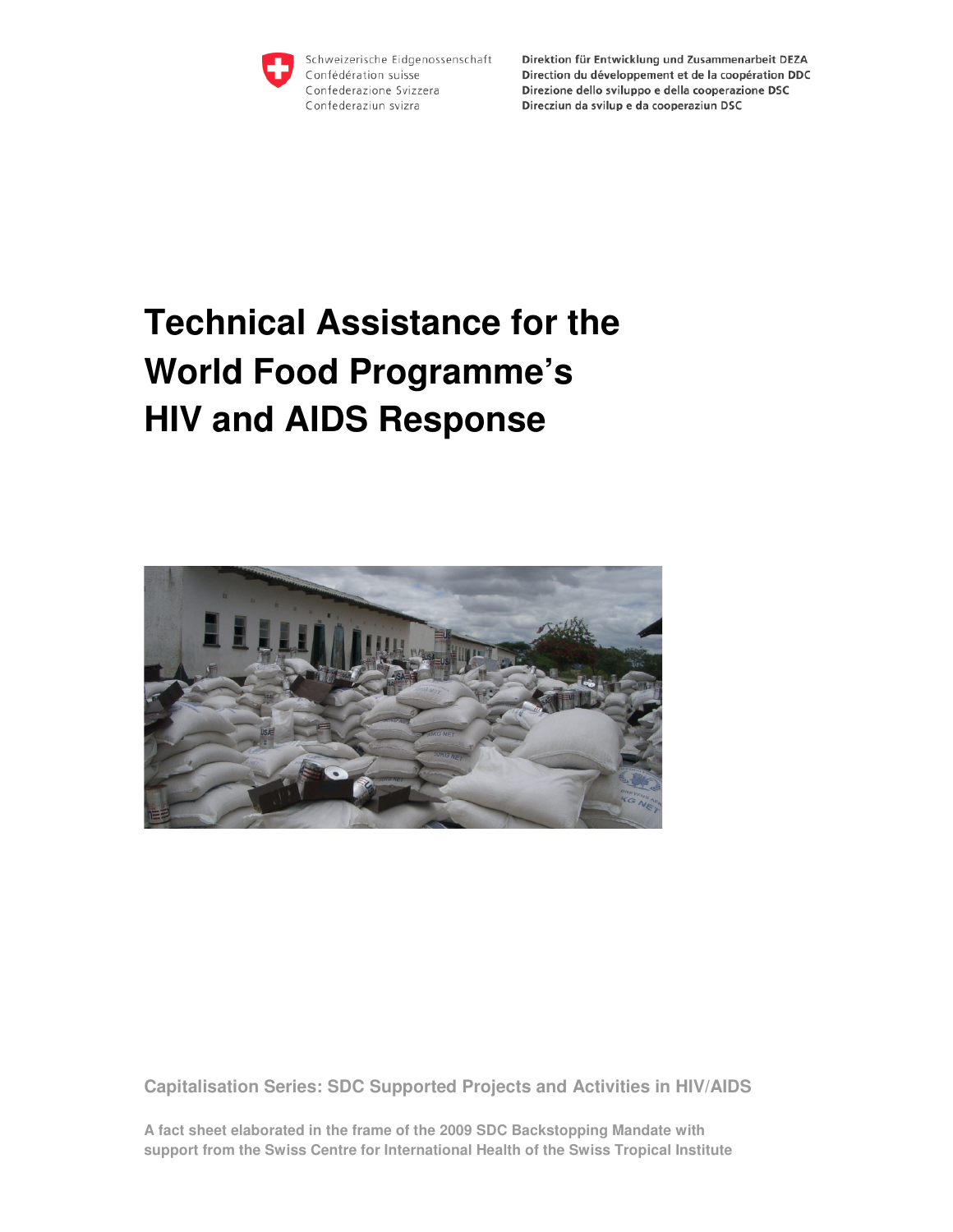

Schweizerische Eidgenossenschaft Confédération suisse Confederazione Svizzera Confederaziun svizra

Direktion für Entwicklung und Zusammenarbeit DEZA Direction du développement et de la coopération DDC Direzione dello sviluppo e della cooperazione DSC Direcziun da svilup e da cooperaziun DSC

# **Technical Assistance for the World Food Programme's HIV and AIDS Response**



**Capitalisation Series: SDC Supported Projects and Activities in HIV/AIDS** 

**A fact sheet elaborated in the frame of the 2009 SDC Backstopping Mandate with support from the Swiss Centre for International Health of the Swiss Tropical Institute**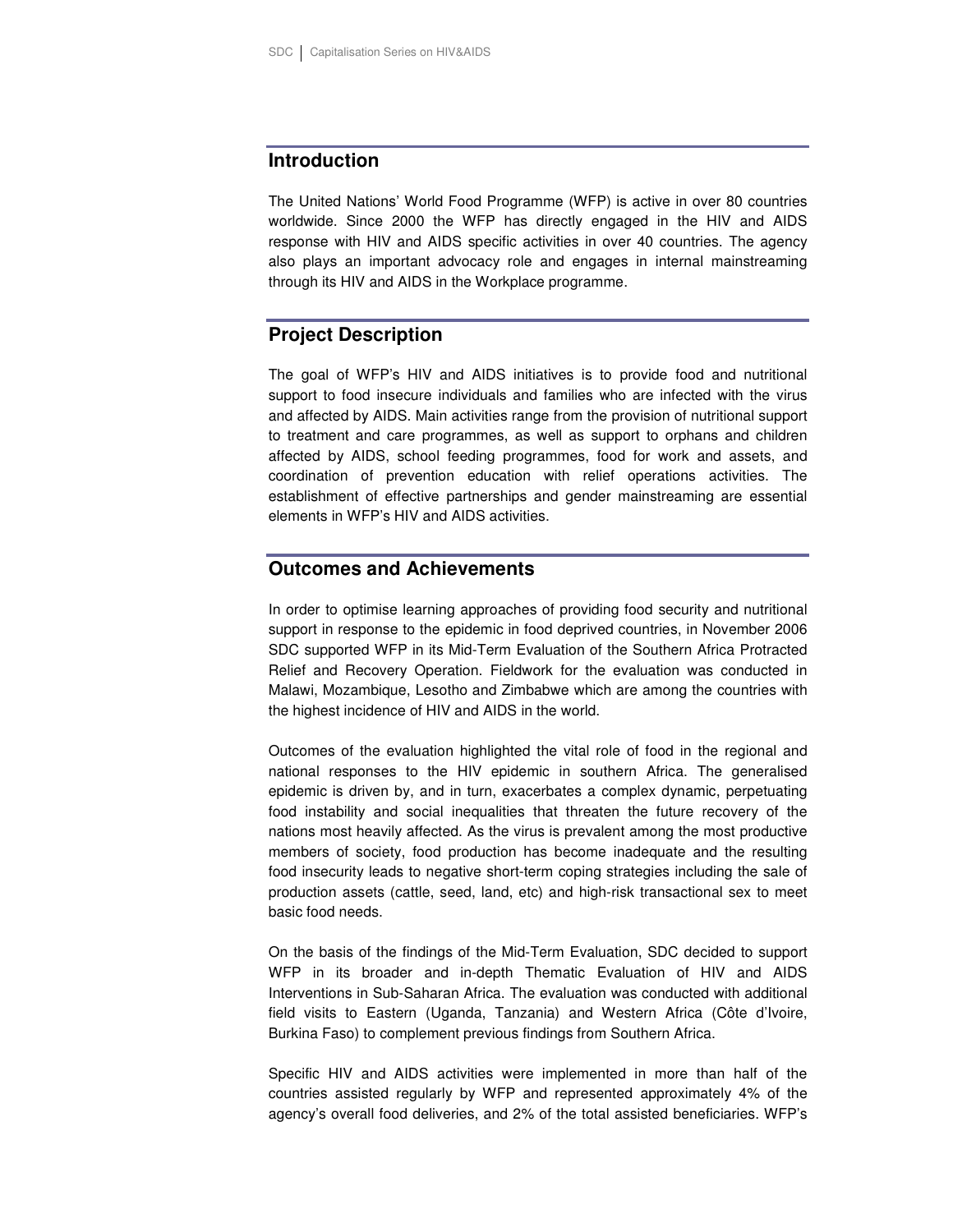## **Introduction**

The United Nations' World Food Programme (WFP) is active in over 80 countries worldwide. Since 2000 the WFP has directly engaged in the HIV and AIDS response with HIV and AIDS specific activities in over 40 countries. The agency also plays an important advocacy role and engages in internal mainstreaming through its HIV and AIDS in the Workplace programme.

# **Project Description**

The goal of WFP's HIV and AIDS initiatives is to provide food and nutritional support to food insecure individuals and families who are infected with the virus and affected by AIDS. Main activities range from the provision of nutritional support to treatment and care programmes, as well as support to orphans and children affected by AIDS, school feeding programmes, food for work and assets, and coordination of prevention education with relief operations activities. The establishment of effective partnerships and gender mainstreaming are essential elements in WFP's HIV and AIDS activities.

# **Outcomes and Achievements**

In order to optimise learning approaches of providing food security and nutritional support in response to the epidemic in food deprived countries, in November 2006 SDC supported WFP in its Mid-Term Evaluation of the Southern Africa Protracted Relief and Recovery Operation. Fieldwork for the evaluation was conducted in Malawi, Mozambique, Lesotho and Zimbabwe which are among the countries with the highest incidence of HIV and AIDS in the world.

Outcomes of the evaluation highlighted the vital role of food in the regional and national responses to the HIV epidemic in southern Africa. The generalised epidemic is driven by, and in turn, exacerbates a complex dynamic, perpetuating food instability and social inequalities that threaten the future recovery of the nations most heavily affected. As the virus is prevalent among the most productive members of society, food production has become inadequate and the resulting food insecurity leads to negative short-term coping strategies including the sale of production assets (cattle, seed, land, etc) and high-risk transactional sex to meet basic food needs.

On the basis of the findings of the Mid-Term Evaluation, SDC decided to support WFP in its broader and in-depth Thematic Evaluation of HIV and AIDS Interventions in Sub-Saharan Africa. The evaluation was conducted with additional field visits to Eastern (Uganda, Tanzania) and Western Africa (Côte d'Ivoire, Burkina Faso) to complement previous findings from Southern Africa.

Specific HIV and AIDS activities were implemented in more than half of the countries assisted regularly by WFP and represented approximately 4% of the agency's overall food deliveries, and 2% of the total assisted beneficiaries. WFP's